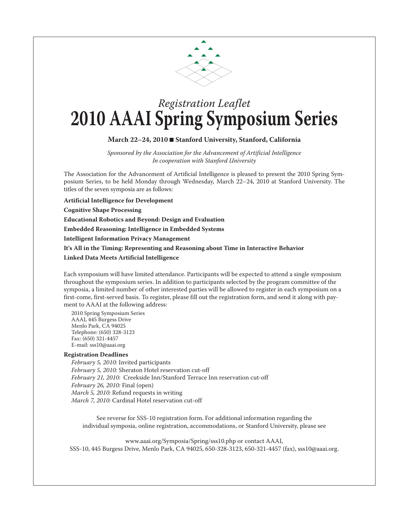

## *Registration Leaflet* **2010 AAAI Spring Symposium Series**

## **March 22–24, 2010** n **Stanford University, Stanford, California**

*Sponsored by the Association for the Advancement of Artificial Intelligence In cooperation with Stanford University*

The Association for the Advancement of Artificial Intelligence is pleased to present the 2010 Spring Symposium Series, to be held Monday through Wednesday, March 22–24, 2010 at Stanford University. The titles of the seven symposia are as follows:

**Artificial Intelligence for Development**

**Cognitive Shape Processing**

**Educational Robotics and Beyond: Design and Evaluation** 

**Embedded Reasoning: Intelligence in Embedded Systems**

**Intelligent Information Privacy Management**

**It's All in the Timing: Representing and Reasoning about Time in Interactive Behavior**

**Linked Data Meets Artificial Intelligence**

Each symposium will have limited attendance. Participants will be expected to attend a single symposium throughout the symposium series. In addition to participants selected by the program committee of the symposia, a limited number of other interested parties will be allowed to register in each symposium on a first-come, first-served basis. To register, please fill out the registration form, and send it along with payment to AAAI at the following address:

2010 Spring Symposium Series AAAI, 445 Burgess Drive Menlo Park, CA 94025 Telephone: (650) 328-3123 Fax: (650) 321-4457 E-mail: sss10@aaai.org

## **Registration Deadlines**

*February 5, 2010:* Invited participants *February 5, 2010:* Sheraton Hotel reservation cut-off *February 21, 2010:* Creekside Inn/Stanford Terrace Inn reservation cut-off *February 26, 2010:* Final (open) *March 5, 2010:* Refund requests in writing *March 7, 2010:* Cardinal Hotel reservation cut-off

See reverse for SSS-10 registration form. For additional information regarding the individual symposia, online registration, accommodations, or Stanford University, please see

www.aaai.org/Symposia/Spring/sss10.php or contact AAAI, SSS-10, 445 Burgess Drive, Menlo Park, CA 94025, 650-328-3123, 650-321-4457 (fax), sss10@aaai.org.